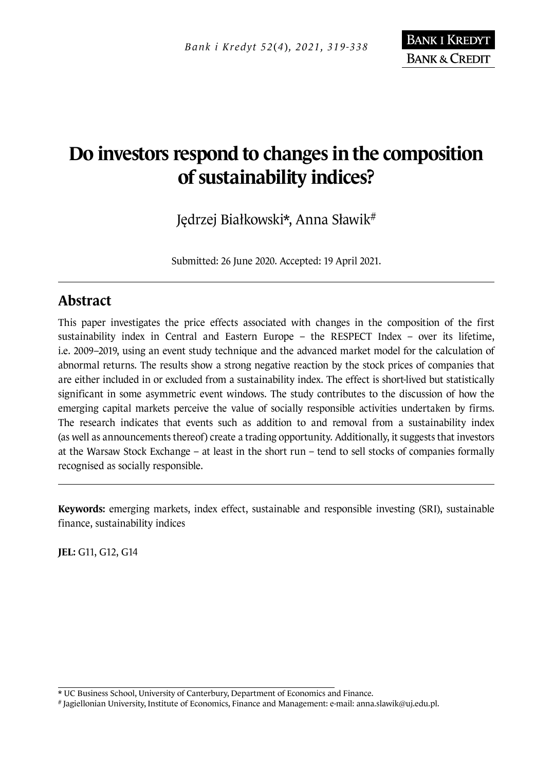# **Do investors respond to changes in the composition of sustainability indices?**

Jędrzej Białkowski\*, Anna Sławik<sup>#</sup>

Submitted: 26 June 2020. Accepted: 19 April 2021.

## **Abstract**

This paper investigates the price effects associated with changes in the composition of the first sustainability index in Central and Eastern Europe – the RESPECT Index – over its lifetime, i.e. 2009–2019, using an event study technique and the advanced market model for the calculation of abnormal returns. The results show a strong negative reaction by the stock prices of companies that are either included in or excluded from a sustainability index. The effect is short-lived but statistically significant in some asymmetric event windows. The study contributes to the discussion of how the emerging capital markets perceive the value of socially responsible activities undertaken by firms. The research indicates that events such as addition to and removal from a sustainability index (as well as announcements thereof) create a trading opportunity. Additionally, it suggests that investors at the Warsaw Stock Exchange – at least in the short run – tend to sell stocks of companies formally recognised as socially responsible.

**Keywords:** emerging markets, index effect, sustainable and responsible investing (SRI), sustainable finance, sustainability indices

**JEL:** G11, G12, G14

<sup>\*</sup> UC Business School, University of Canterbury, Department of Economics and Finance.

<sup>#</sup> Jagiellonian University, Institute of Economics, Finance and Management: e-mail: anna.slawik@uj.edu.pl.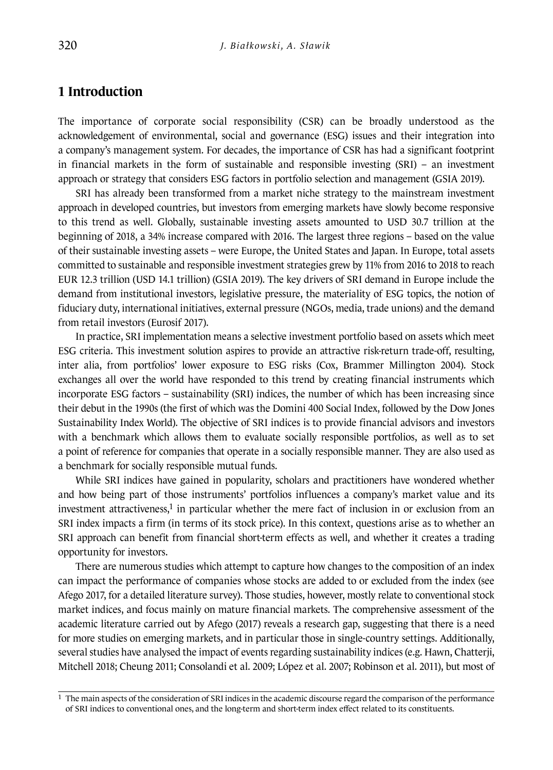#### **1 Introduction**

The importance of corporate social responsibility (CSR) can be broadly understood as the acknowledgement of environmental, social and governance (ESG) issues and their integration into a company's management system. For decades, the importance of CSR has had a significant footprint in financial markets in the form of sustainable and responsible investing (SRI) – an investment approach or strategy that considers ESG factors in portfolio selection and management (GSIA 2019).

SRI has already been transformed from a market niche strategy to the mainstream investment approach in developed countries, but investors from emerging markets have slowly become responsive to this trend as well. Globally, sustainable investing assets amounted to USD 30.7 trillion at the beginning of 2018, a 34% increase compared with 2016. The largest three regions – based on the value of their sustainable investing assets – were Europe, the United States and Japan. In Europe, total assets committed to sustainable and responsible investment strategies grew by 11% from 2016 to 2018 to reach EUR 12.3 trillion (USD 14.1 trillion) (GSIA 2019). The key drivers of SRI demand in Europe include the demand from institutional investors, legislative pressure, the materiality of ESG topics, the notion of fiduciary duty, international initiatives, external pressure (NGOs, media, trade unions) and the demand from retail investors (Eurosif 2017).

In practice, SRI implementation means a selective investment portfolio based on assets which meet ESG criteria. This investment solution aspires to provide an attractive risk-return trade-off, resulting, inter alia, from portfolios' lower exposure to ESG risks (Cox, Brammer Millington 2004). Stock exchanges all over the world have responded to this trend by creating financial instruments which incorporate ESG factors – sustainability (SRI) indices, the number of which has been increasing since their debut in the 1990s (the first of which was the Domini 400 Social Index, followed by the Dow Jones Sustainability Index World). The objective of SRI indices is to provide financial advisors and investors with a benchmark which allows them to evaluate socially responsible portfolios, as well as to set a point of reference for companies that operate in a socially responsible manner. They are also used as a benchmark for socially responsible mutual funds.

While SRI indices have gained in popularity, scholars and practitioners have wondered whether and how being part of those instruments' portfolios influences a company's market value and its investment attractiveness, $1$  in particular whether the mere fact of inclusion in or exclusion from an SRI index impacts a firm (in terms of its stock price). In this context, questions arise as to whether an SRI approach can benefit from financial short-term effects as well, and whether it creates a trading opportunity for investors.

There are numerous studies which attempt to capture how changes to the composition of an index can impact the performance of companies whose stocks are added to or excluded from the index (see Afego 2017, for a detailed literature survey). Those studies, however, mostly relate to conventional stock market indices, and focus mainly on mature financial markets. The comprehensive assessment of the academic literature carried out by Afego (2017) reveals a research gap, suggesting that there is a need for more studies on emerging markets, and in particular those in single-country settings. Additionally, several studies have analysed the impact of events regarding sustainability indices (e.g. Hawn, Chatterji, Mitchell 2018; Cheung 2011; Consolandi et al. 2009; López et al. 2007; Robinson et al. 2011), but most of

 $<sup>1</sup>$  The main aspects of the consideration of SRI indices in the academic discourse regard the comparison of the performance</sup> of SRI indices to conventional ones, and the long-term and short-term index effect related to its constituents.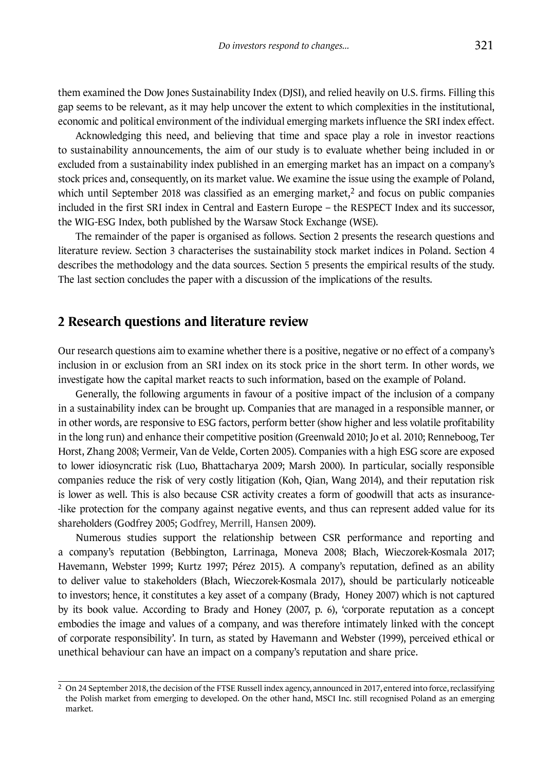them examined the Dow Jones Sustainability Index (DJSI), and relied heavily on U.S. firms. Filling this gap seems to be relevant, as it may help uncover the extent to which complexities in the institutional, economic and political environment of the individual emerging markets influence the SRI index effect.

Acknowledging this need, and believing that time and space play a role in investor reactions to sustainability announcements, the aim of our study is to evaluate whether being included in or excluded from a sustainability index published in an emerging market has an impact on a company's stock prices and, consequently, on its market value. We examine the issue using the example of Poland, which until September 2018 was classified as an emerging market, $<sup>2</sup>$  and focus on public companies</sup> included in the first SRI index in Central and Eastern Europe – the RESPECT Index and its successor, the WIG-ESG Index, both published by the Warsaw Stock Exchange (WSE).

The remainder of the paper is organised as follows. Section 2 presents the research questions and literature review. Section 3 characterises the sustainability stock market indices in Poland. Section 4 describes the methodology and the data sources. Section 5 presents the empirical results of the study. The last section concludes the paper with a discussion of the implications of the results.

#### **2 Research questions and literature review**

Our research questions aim to examine whether there is a positive, negative or no effect of a company's inclusion in or exclusion from an SRI index on its stock price in the short term. In other words, we investigate how the capital market reacts to such information, based on the example of Poland.

Generally, the following arguments in favour of a positive impact of the inclusion of a company in a sustainability index can be brought up. Companies that are managed in a responsible manner, or in other words, are responsive to ESG factors, perform better (show higher and less volatile profitability in the long run) and enhance their competitive position (Greenwald 2010; Jo et al. 2010; Renneboog, Ter Horst, Zhang 2008; Vermeir, Van de Velde, Corten 2005). Companies with a high ESG score are exposed to lower idiosyncratic risk (Luo, Bhattacharya 2009; Marsh 2000). In particular, socially responsible companies reduce the risk of very costly litigation (Koh, Qian, Wang 2014), and their reputation risk is lower as well. This is also because CSR activity creates a form of goodwill that acts as insurance- -like protection for the company against negative events, and thus can represent added value for its shareholders (Godfrey 2005; Godfrey, Merrill, Hansen 2009).

Numerous studies support the relationship between CSR performance and reporting and a company's reputation (Bebbington, Larrinaga, Moneva 2008; Błach, Wieczorek-Kosmala 2017; Havemann, Webster 1999; Kurtz 1997; Pérez 2015). A company's reputation, defined as an ability to deliver value to stakeholders (Błach, Wieczorek-Kosmala 2017), should be particularly noticeable to investors; hence, it constitutes a key asset of a company (Brady, Honey 2007) which is not captured by its book value. According to Brady and Honey (2007, p. 6), 'corporate reputation as a concept embodies the image and values of a company, and was therefore intimately linked with the concept of corporate responsibility'. In turn, as stated by Havemann and Webster (1999), perceived ethical or unethical behaviour can have an impact on a company's reputation and share price.

<sup>2</sup> On 24 September 2018, the decision of the FTSE Russell index agency, announced in 2017, entered into force, reclassifying the Polish market from emerging to developed. On the other hand, MSCI Inc. still recognised Poland as an emerging market.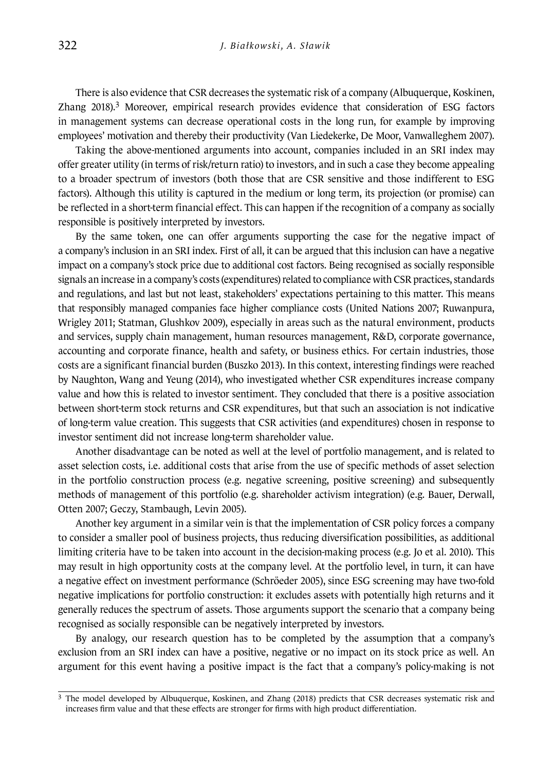There is also evidence that CSR decreases the systematic risk of a company (Albuquerque, Koskinen, Zhang 2018).3 Moreover, empirical research provides evidence that consideration of ESG factors in management systems can decrease operational costs in the long run, for example by improving employees' motivation and thereby their productivity (Van Liedekerke, De Moor, Vanwalleghem 2007).

Taking the above-mentioned arguments into account, companies included in an SRI index may offer greater utility (in terms of risk/return ratio) to investors, and in such a case they become appealing to a broader spectrum of investors (both those that are CSR sensitive and those indifferent to ESG factors). Although this utility is captured in the medium or long term, its projection (or promise) can be reflected in a short-term financial effect. This can happen if the recognition of a company as socially responsible is positively interpreted by investors.

By the same token, one can offer arguments supporting the case for the negative impact of a company's inclusion in an SRI index. First of all, it can be argued that this inclusion can have a negative impact on a company's stock price due to additional cost factors. Being recognised as socially responsible signals an increase in a company's costs (expenditures) related to compliance with CSR practices, standards and regulations, and last but not least, stakeholders' expectations pertaining to this matter. This means that responsibly managed companies face higher compliance costs (United Nations 2007; Ruwanpura, Wrigley 2011; Statman, Glushkov 2009), especially in areas such as the natural environment, products and services, supply chain management, human resources management, R&D, corporate governance, accounting and corporate finance, health and safety, or business ethics. For certain industries, those costs are a significant financial burden (Buszko 2013). In this context, interesting findings were reached by Naughton, Wang and Yeung (2014), who investigated whether CSR expenditures increase company value and how this is related to investor sentiment. They concluded that there is a positive association between short-term stock returns and CSR expenditures, but that such an association is not indicative of long-term value creation. This suggests that CSR activities (and expenditures) chosen in response to investor sentiment did not increase long-term shareholder value.

Another disadvantage can be noted as well at the level of portfolio management, and is related to asset selection costs, i.e. additional costs that arise from the use of specific methods of asset selection in the portfolio construction process (e.g. negative screening, positive screening) and subsequently methods of management of this portfolio (e.g. shareholder activism integration) (e.g. Bauer, Derwall, Otten 2007; Geczy, Stambaugh, Levin 2005).

Another key argument in a similar vein is that the implementation of CSR policy forces a company to consider a smaller pool of business projects, thus reducing diversification possibilities, as additional limiting criteria have to be taken into account in the decision-making process (e.g. Jo et al. 2010). This may result in high opportunity costs at the company level. At the portfolio level, in turn, it can have a negative effect on investment performance (Schröeder 2005), since ESG screening may have two-fold negative implications for portfolio construction: it excludes assets with potentially high returns and it generally reduces the spectrum of assets. Those arguments support the scenario that a company being recognised as socially responsible can be negatively interpreted by investors.

By analogy, our research question has to be completed by the assumption that a company's exclusion from an SRI index can have a positive, negative or no impact on its stock price as well. An argument for this event having a positive impact is the fact that a company's policy-making is not

<sup>&</sup>lt;sup>3</sup> The model developed by Albuquerque, Koskinen, and Zhang (2018) predicts that CSR decreases systematic risk and increases firm value and that these effects are stronger for firms with high product differentiation.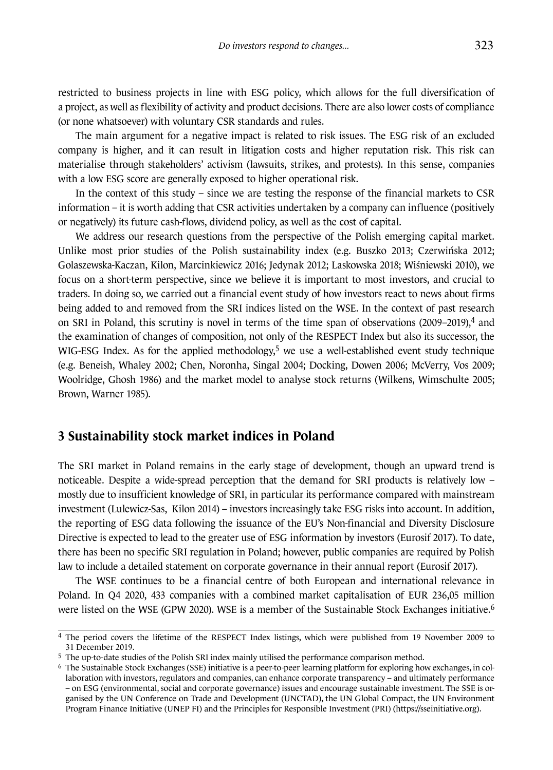restricted to business projects in line with ESG policy, which allows for the full diversification of a project, as well as flexibility of activity and product decisions. There are also lower costs of compliance (or none whatsoever) with voluntary CSR standards and rules.

The main argument for a negative impact is related to risk issues. The ESG risk of an excluded company is higher, and it can result in litigation costs and higher reputation risk. This risk can materialise through stakeholders' activism (lawsuits, strikes, and protests). In this sense, companies with a low ESG score are generally exposed to higher operational risk.

In the context of this study – since we are testing the response of the financial markets to CSR information – it is worth adding that CSR activities undertaken by a company can influence (positively or negatively) its future cash-flows, dividend policy, as well as the cost of capital.

We address our research questions from the perspective of the Polish emerging capital market. Unlike most prior studies of the Polish sustainability index (e.g. Buszko 2013; Czerwińska 2012; Golaszewska-Kaczan, Kilon, Marcinkiewicz 2016; Jedynak 2012; Laskowska 2018; Wiśniewski 2010), we focus on a short-term perspective, since we believe it is important to most investors, and crucial to traders. In doing so, we carried out a financial event study of how investors react to news about firms being added to and removed from the SRI indices listed on the WSE. In the context of past research on SRI in Poland, this scrutiny is novel in terms of the time span of observations (2009–2019),4 and the examination of changes of composition, not only of the RESPECT Index but also its successor, the WIG-ESG Index. As for the applied methodology,<sup>5</sup> we use a well-established event study technique (e.g. Beneish, Whaley 2002; Chen, Noronha, Singal 2004; Docking, Dowen 2006; McVerry, Vos 2009; Woolridge, Ghosh 1986) and the market model to analyse stock returns (Wilkens, Wimschulte 2005; Brown, Warner 1985).

#### **3 Sustainability stock market indices in Poland**

The SRI market in Poland remains in the early stage of development, though an upward trend is noticeable. Despite a wide-spread perception that the demand for SRI products is relatively low – mostly due to insufficient knowledge of SRI, in particular its performance compared with mainstream investment (Lulewicz-Sas, Kilon 2014) – investors increasingly take ESG risks into account. In addition, the reporting of ESG data following the issuance of the EU's Non-financial and Diversity Disclosure Directive is expected to lead to the greater use of ESG information by investors (Eurosif 2017). To date, there has been no specific SRI regulation in Poland; however, public companies are required by Polish law to include a detailed statement on corporate governance in their annual report (Eurosif 2017).

The WSE continues to be a financial centre of both European and international relevance in Poland. In Q4 2020, 433 companies with a combined market capitalisation of EUR 236,05 million were listed on the WSE (GPW 2020). WSE is a member of the Sustainable Stock Exchanges initiative.<sup>6</sup>

<sup>4</sup> The period covers the lifetime of the RESPECT Index listings, which were published from 19 November 2009 to 31 December 2019.

<sup>5</sup> The up-to-date studies of the Polish SRI index mainly utilised the performance comparison method.

<sup>6</sup> The Sustainable Stock Exchanges (SSE) initiative is a peer-to-peer learning platform for exploring how exchanges, in collaboration with investors, regulators and companies, can enhance corporate transparency – and ultimately performance – on ESG (environmental, social and corporate governance) issues and encourage sustainable investment. The SSE is organised by the UN Conference on Trade and Development (UNCTAD), the UN Global Compact, the UN Environment Program Finance Initiative (UNEP FI) and the Principles for Responsible Investment (PRI) (https://sseinitiative.org).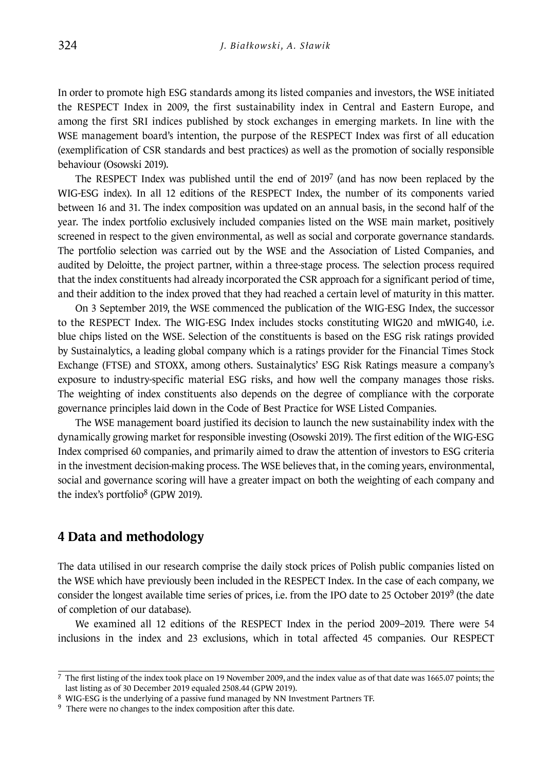In order to promote high ESG standards among its listed companies and investors, the WSE initiated the RESPECT Index in 2009, the first sustainability index in Central and Eastern Europe, and among the first SRI indices published by stock exchanges in emerging markets. In line with the WSE management board's intention, the purpose of the RESPECT Index was first of all education (exemplification of CSR standards and best practices) as well as the promotion of socially responsible behaviour (Osowski 2019).

The RESPECT Index was published until the end of  $2019<sup>7</sup>$  (and has now been replaced by the WIG-ESG index). In all 12 editions of the RESPECT Index, the number of its components varied between 16 and 31. The index composition was updated on an annual basis, in the second half of the year. The index portfolio exclusively included companies listed on the WSE main market, positively screened in respect to the given environmental, as well as social and corporate governance standards. The portfolio selection was carried out by the WSE and the Association of Listed Companies, and audited by Deloitte, the project partner, within a three-stage process. The selection process required that the index constituents had already incorporated the CSR approach for a significant period of time, and their addition to the index proved that they had reached a certain level of maturity in this matter.

On 3 September 2019, the WSE commenced the publication of the WIG-ESG Index, the successor to the RESPECT Index. The WIG-ESG Index includes stocks constituting WIG20 and mWIG40, i.e. blue chips listed on the WSE. Selection of the constituents is based on the ESG risk ratings provided by Sustainalytics, a leading global company which is a ratings provider for the Financial Times Stock Exchange (FTSE) and STOXX, among others. Sustainalytics' ESG Risk Ratings measure a company's exposure to industry-specific material ESG risks, and how well the company manages those risks. The weighting of index constituents also depends on the degree of compliance with the corporate governance principles laid down in the Code of Best Practice for WSE Listed Companies.

The WSE management board justified its decision to launch the new sustainability index with the dynamically growing market for responsible investing (Osowski 2019). The first edition of the WIG-ESG Index comprised 60 companies, and primarily aimed to draw the attention of investors to ESG criteria in the investment decision-making process. The WSE believes that, in the coming years, environmental, social and governance scoring will have a greater impact on both the weighting of each company and the index's portfolio<sup>8</sup> (GPW 2019).

#### **4 Data and methodology**

The data utilised in our research comprise the daily stock prices of Polish public companies listed on the WSE which have previously been included in the RESPECT Index. In the case of each company, we consider the longest available time series of prices, i.e. from the IPO date to 25 October 20199 (the date of completion of our database).

We examined all 12 editions of the RESPECT Index in the period 2009–2019. There were 54 inclusions in the index and 23 exclusions, which in total affected 45 companies. Our RESPECT

 $<sup>7</sup>$  The first listing of the index took place on 19 November 2009, and the index value as of that date was 1665.07 points; the</sup> last listing as of 30 December 2019 equaled 2508.44 (GPW 2019).

<sup>8</sup> WIG-ESG is the underlying of a passive fund managed by NN Investment Partners TF.

<sup>&</sup>lt;sup>9</sup> There were no changes to the index composition after this date.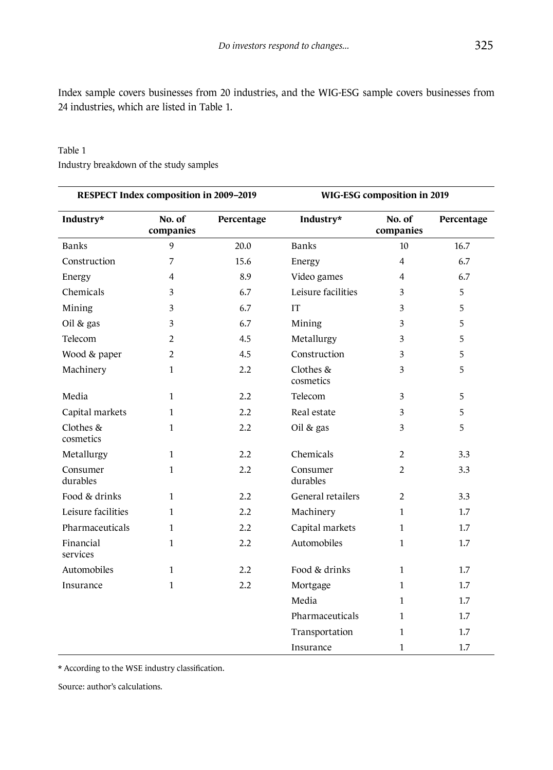Index sample covers businesses from 20 industries, and the WIG-ESG sample covers businesses from 24 industries, which are listed in Table 1.

| RESPECT Index composition in 2009-2019 |                     |            | WIG-ESG composition in 2019 |                     |            |
|----------------------------------------|---------------------|------------|-----------------------------|---------------------|------------|
| Industry*                              | No. of<br>companies | Percentage | Industry*                   | No. of<br>companies | Percentage |
| <b>Banks</b>                           | 9                   | 20.0       | <b>Banks</b>                | $10\,$              | 16.7       |
| Construction                           | 7                   | 15.6       | Energy                      | $\overline{4}$      | 6.7        |
| Energy                                 | 4                   | 8.9        | Video games                 | 4                   | 6.7        |
| Chemicals                              | 3                   | 6.7        | Leisure facilities          | 3                   | 5          |
| Mining                                 | 3                   | 6.7        | <b>IT</b>                   | 3                   | 5          |
| Oil $&$ gas                            | 3                   | 6.7        | Mining                      | 3                   | 5          |
| Telecom                                | 2                   | 4.5        | Metallurgy                  | 3                   | 5          |
| Wood & paper                           | $\overline{2}$      | 4.5        | Construction                | 3                   | 5          |
| Machinery                              | 1                   | 2.2        | Clothes &<br>cosmetics      | 3                   | 5          |
| Media                                  | $\mathbf{1}$        | 2.2        | Telecom                     | 3                   | 5          |
| Capital markets                        | $\mathbf{1}$        | 2.2        | Real estate                 | 3                   | 5          |
| Clothes &<br>cosmetics                 | $\mathbf{1}$        | 2.2        | Oil & gas                   | 3                   | 5          |
| Metallurgy                             | $\mathbf{1}$        | 2.2        | Chemicals                   | 2                   | 3.3        |
| Consumer<br>durables                   | $\mathbf{1}$        | 2.2        | Consumer<br>durables        | $\overline{2}$      | 3.3        |
| Food & drinks                          | $\mathbf{1}$        | 2.2        | General retailers           | $\overline{2}$      | 3.3        |
| Leisure facilities                     | $\mathbf{1}$        | 2.2        | Machinery                   | 1                   | 1.7        |
| Pharmaceuticals                        | $\mathbf{1}$        | 2.2        | Capital markets             | $\mathbf{1}$        | 1.7        |
| Financial<br>services                  | $\mathbf{1}$        | 2.2        | Automobiles                 | 1                   | $1.7\,$    |
| Automobiles                            | $\mathbf{1}$        | 2.2        | Food & drinks               | $\mathbf{1}$        | 1.7        |
| Insurance                              | $\mathbf{1}$        | 2.2        | Mortgage                    | 1                   | 1.7        |
|                                        |                     |            | Media                       | 1                   | 1.7        |
|                                        |                     |            | Pharmaceuticals             | $\mathbf{1}$        | 1.7        |
|                                        |                     |            | Transportation              | 1                   | 1.7        |
|                                        |                     |            | Insurance                   | $\mathbf{1}$        | 1.7        |

#### Table 1 Industry breakdown of the study samples

\* According to the WSE industry classification.

Source: author's calculations.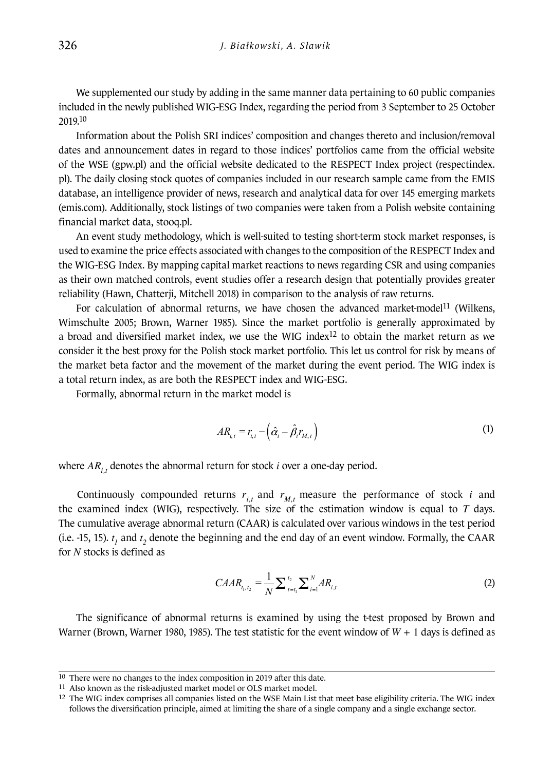We supplemented our study by adding in the same manner data pertaining to 60 public companies included in the newly published WIG-ESG Index, regarding the period from 3 September to 25 October 2019.10

Information about the Polish SRI indices' composition and changes thereto and inclusion/removal dates and announcement dates in regard to those indices' portfolios came from the official website of the WSE (gpw.pl) and the official website dedicated to the RESPECT Index project (respectindex. pl). The daily closing stock quotes of companies included in our research sample came from the EMIS database, an intelligence provider of news, research and analytical data for over 145 emerging markets (emis.com). Additionally, stock listings of two companies were taken from a Polish website containing financial market data, stooq.pl.

An event study methodology, which is well-suited to testing short-term stock market responses, is used to examine the price effects associated with changes to the composition of the RESPECT Index and the WIG-ESG Index. By mapping capital market reactions to news regarding CSR and using companies as their own matched controls, event studies offer a research design that potentially provides greater reliability (Hawn, Chatterji, Mitchell 2018) in comparison to the analysis of raw returns.

For calculation of abnormal returns, we have chosen the advanced market-model<sup>11</sup> (Wilkens, Wimschulte 2005; Brown, Warner 1985). Since the market portfolio is generally approximated by a broad and diversified market index, we use the WIG index<sup>12</sup> to obtain the market return as we consider it the best proxy for the Polish stock market portfolio. This let us control for risk by means of the market beta factor and the movement of the market during the event period. The WIG index is a total return index, as are both the RESPECT index and WIG-ESG.

Formally, abnormal return in the market model is

$$
AR_{i,t} = r_{i,t} - \left(\hat{\alpha}_i - \hat{\beta}_i r_{M,t}\right)
$$
\n(1)

br stock *i* over a one-d where  $AR_{i,t}$  denotes the abnormal return for stock *i* over a one-day period.

 $\frac{1}{2}$ ,  $\frac{1}{2}$   $\frac{1}{2}$   $\frac{1}{2}$   $\frac{1}{2}$   $\frac{1}{2}$   $\frac{1}{2}$   $\frac{1}{2}$   $\frac{1}{2}$   $\frac{1}{2}$   $\frac{1}{2}$   $\frac{1}{2}$   $\frac{1}{2}$   $\frac{1}{2}$   $\frac{1}{2}$   $\frac{1}{2}$   $\frac{1}{2}$   $\frac{1}{2}$   $\frac{1}{2}$   $\frac{1}{2}$   $\frac{1}{2}$   $\frac{1}{2}$  the examined index (WIG), respectively. The size of the estimation window is equal to *T* days. *t* The cumulative average abnormal return (CAAR) is calculated over various windows in the test period Continuously compounded returns  $r_{i,t}$  and  $r_{M,t}$  measure the performance of stock *i* and (i.e. -15, 15).  $t_1$  and  $t_2$  denote the beginning and the end day of an event window. Formally, the CAAR for *N* stocks is defined as

$$
C A A R_{t_1, t_2} = \frac{1}{N} \sum_{t=t_1}^{t_2} \sum_{i=1}^{N} A R_{i, t}
$$
 (2)

1

and *the test statistic for the even*  $\lim_{x \to a}$  *is* examined by *CAAR* The significance of abnormal returns is examined by using the t-test proposed by Brown and  $\frac{1}{2}$   $\frac{1}{2}$   $\frac{1}{2}$   $\frac{1}{2}$   $\frac{1}{2}$   $\frac{1}{2}$   $\frac{1}{2}$   $\frac{1}{2}$   $\frac{1}{2}$   $\frac{1}{2}$   $\frac{1}{2}$   $\frac{1}{2}$   $\frac{1}{2}$  *the eigenmeance of achiennal recalls to examined by aling the clear proposed by Brown and Warner (Brown, Warner 1980, 1985). The test statistic for the event window of*  $W + 1$  *days is defined as* 

<sup>(</sup> ) *j W k W*  $\int_{0}^{1}$  $\frac{1}{2}$  *M*  $\frac{1}{2}$  *M*  $\frac{1}{2}$  *M*  $\frac{1}{2}$  *M*  $\frac{1}{2}$  *M*  $\frac{1}{2}$  *M*  $\frac{1}{2}$  *M*  $\frac{1}{2}$  *M*  $\frac{1}{2}$  *M*  $\frac{1}{2}$  *M*  $\frac{1}{2}$  *M*  $\frac{1}{2}$  *M*  $\frac{1}{2}$  *M*  $\frac{1}{2}$  *M*  $\frac{1}{2}$  *M*  $\frac{1}{2}$   $\frac{10}{10}$  There were no changes to the index composition in 2019 after this date.

<sup>(</sup>*I*) (*Also known* as the risk-adjusted market model or OLS market model.<br>
<sup>11</sup> Also known as the risk-adjusted market model or OLS market model.

<sup>&</sup>lt;sup>12</sup> The WIG index comprises all companies listed on the WSE Main List that meet base eligibility criteria. The WIG index follows the diversification principle, aimed at limiting the share of a single company and a single exchange sector.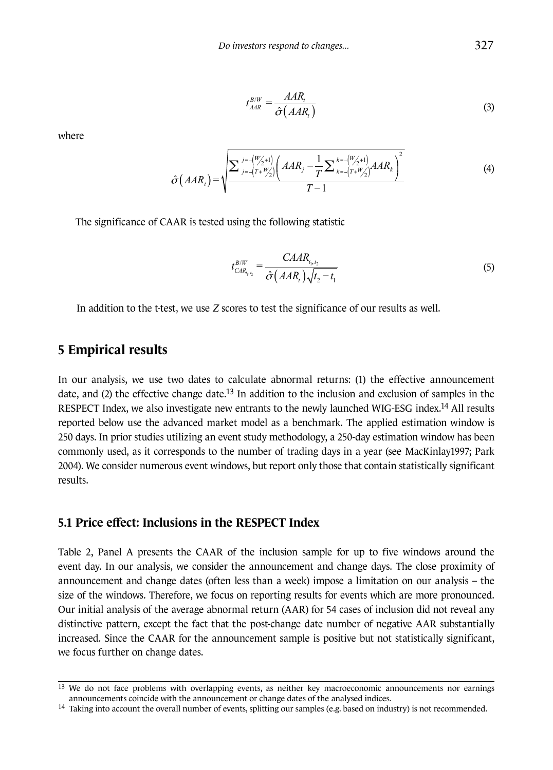$$
t_{AAR}^{B/W} = \frac{AAR_i}{\hat{\sigma}(AAR_i)}
$$
\n(3)

where

$$
\hat{\sigma}(AAR_i) = \sqrt{\frac{\sum_{j=-(T+W'_{2})}^{j=-(W'_{2}+1)} \left(AAR_j - \frac{1}{T}\sum_{k=-(T+W'_{2})}^{k=-(W'_{2}+1)} AAR_k\right)^2}{T-1}}
$$
(4)

the following statistic *AR* is tested using the following statistic The significance of CAAR is tested using the following statistic *W j W k j T k T* Σ Σ

$$
t_{CAR_{t_1,t_2}}^{B/W} = \frac{CABA_{t_1,t_2}}{\hat{\sigma}(AAR_t)\sqrt{t_2 - t_1}}
$$
(5)

In addition to the t-test, we use *Z* scores to test the significance of our results as well.

#### **5 Empirical results**

In our analysis, we use two dates to calculate abnormal returns: (1) the effective announcement date, and (2) the effective change date.13 In addition to the inclusion and exclusion of samples in the RESPECT Index, we also investigate new entrants to the newly launched WIG-ESG index.<sup>14</sup> All results reported below use the advanced market model as a benchmark. The applied estimation window is 250 days. In prior studies utilizing an event study methodology, a 250-day estimation window has been commonly used, as it corresponds to the number of trading days in a year (see MacKinlay1997; Park 2004). We consider numerous event windows, but report only those that contain statistically significant results.

#### **5.1 Price effect: Inclusions in the RESPECT Index**

Table 2, Panel A presents the CAAR of the inclusion sample for up to five windows around the event day. In our analysis, we consider the announcement and change days. The close proximity of announcement and change dates (often less than a week) impose a limitation on our analysis – the size of the windows. Therefore, we focus on reporting results for events which are more pronounced. Our initial analysis of the average abnormal return (AAR) for 54 cases of inclusion did not reveal any distinctive pattern, except the fact that the post-change date number of negative AAR substantially increased. Since the CAAR for the announcement sample is positive but not statistically significant, we focus further on change dates.

<sup>13</sup> We do not face problems with overlapping events, as neither key macroeconomic announcements nor earnings announcements coincide with the announcement or change dates of the analysed indices.

 $14$  Taking into account the overall number of events, splitting our samples (e.g. based on industry) is not recommended.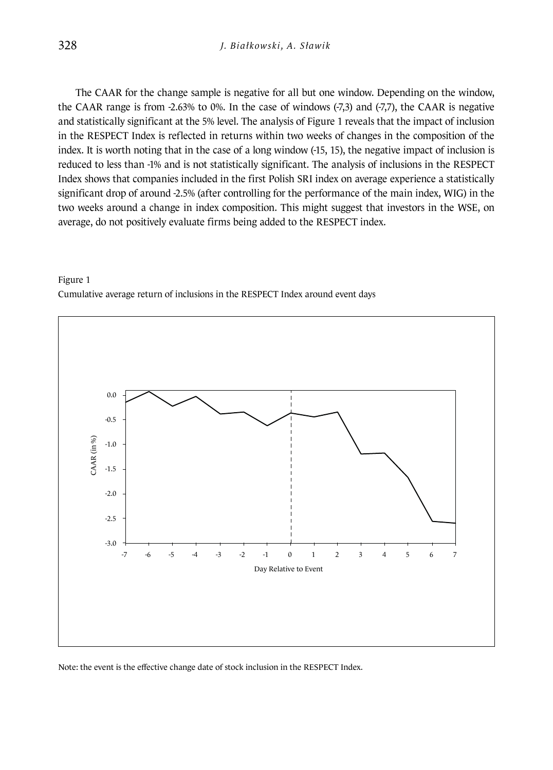The CAAR for the change sample is negative for all but one window. Depending on the window, the CAAR range is from -2.63% to 0%. In the case of windows (-7,3) and (-7,7), the CAAR is negative and statistically significant at the 5% level. The analysis of Figure 1 reveals that the impact of inclusion in the RESPECT Index is reflected in returns within two weeks of changes in the composition of the index. It is worth noting that in the case of a long window (-15, 15), the negative impact of inclusion is reduced to less than -1% and is not statistically significant. The analysis of inclusions in the RESPECT Index shows that companies included in the first Polish SRI index on average experience a statistically significant drop of around -2.5% (after controlling for the performance of the main index, WIG) in the two weeks around a change in index composition. This might suggest that investors in the WSE, on average, do not positively evaluate firms being added to the RESPECT index.





Note: the event is the effective change date of stock inclusion in the RESPECT Index.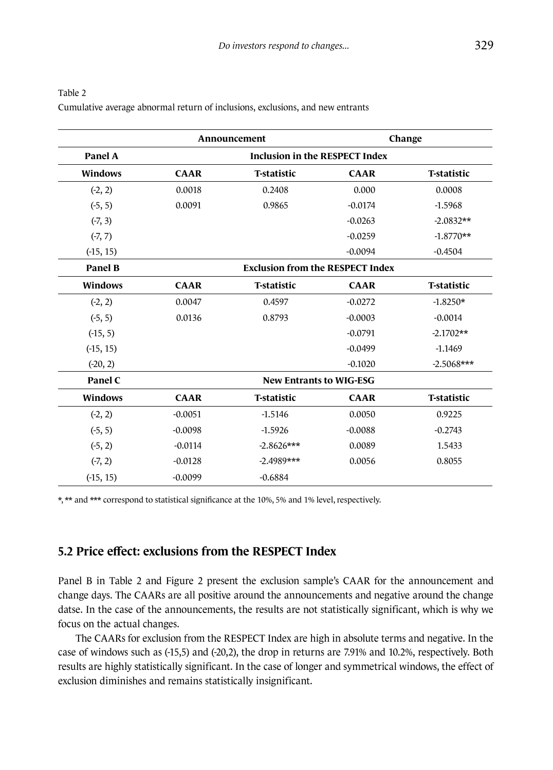|                |                                         | Announcement                   |             | Change             |  |  |
|----------------|-----------------------------------------|--------------------------------|-------------|--------------------|--|--|
| Panel A        | <b>Inclusion in the RESPECT Index</b>   |                                |             |                    |  |  |
| <b>Windows</b> | <b>CAAR</b>                             | <b>T-statistic</b>             | <b>CAAR</b> | <b>T-statistic</b> |  |  |
| $(-2, 2)$      | 0.0018                                  | 0.2408                         | 0.000       | 0.0008             |  |  |
| $(-5, 5)$      | 0.0091                                  | 0.9865                         | $-0.0174$   | $-1.5968$          |  |  |
| $(-7, 3)$      |                                         |                                | $-0.0263$   | $-2.0832**$        |  |  |
| $(-7, 7)$      |                                         |                                | $-0.0259$   | $-1.8770**$        |  |  |
| $(-15, 15)$    |                                         |                                | $-0.0094$   | $-0.4504$          |  |  |
| <b>Panel B</b> | <b>Exclusion from the RESPECT Index</b> |                                |             |                    |  |  |
| <b>Windows</b> | <b>CAAR</b>                             | <b>T-statistic</b>             | <b>CAAR</b> | <b>T-statistic</b> |  |  |
| $(-2, 2)$      | 0.0047                                  | 0.4597                         | $-0.0272$   | $-1.8250*$         |  |  |
| $(-5, 5)$      | 0.0136                                  | 0.8793                         | $-0.0003$   | $-0.0014$          |  |  |
| $(-15, 5)$     |                                         |                                | $-0.0791$   | $-2.1702**$        |  |  |
| $(-15, 15)$    |                                         |                                | $-0.0499$   | $-1.1469$          |  |  |
| $(-20, 2)$     |                                         |                                | $-0.1020$   | $-2.5068***$       |  |  |
| Panel C        |                                         | <b>New Entrants to WIG-ESG</b> |             |                    |  |  |
| <b>Windows</b> | <b>CAAR</b>                             | <b>T-statistic</b>             | <b>CAAR</b> | <b>T-statistic</b> |  |  |
| $(-2, 2)$      | $-0.0051$                               | $-1.5146$                      | 0.0050      | 0.9225             |  |  |
| $(-5, 5)$      | $-0.0098$                               | $-1.5926$                      | $-0.0088$   | $-0.2743$          |  |  |
| $(-5, 2)$      | $-0.0114$                               | $-2.8626***$                   | 0.0089      | 1.5433             |  |  |
| $(-7, 2)$      | $-0.0128$                               | $-2.4989***$                   | 0.0056      | 0.8055             |  |  |
| $( -15, 15)$   | $-0.0099$                               | $-0.6884$                      |             |                    |  |  |

| Table 2                                                                        |
|--------------------------------------------------------------------------------|
| Cumulative average abnormal return of inclusions, exclusions, and new entrants |

\*, \*\* and \*\*\* correspond to statistical significance at the 10%, 5% and 1% level, respectively.

#### **5.2 Price effect: exclusions from the RESPECT Index**

Panel B in Table 2 and Figure 2 present the exclusion sample's CAAR for the announcement and change days. The CAARs are all positive around the announcements and negative around the change datse. In the case of the announcements, the results are not statistically significant, which is why we focus on the actual changes.

The CAARs for exclusion from the RESPECT Index are high in absolute terms and negative. In the case of windows such as (-15,5) and (-20,2), the drop in returns are 7.91% and 10.2%, respectively. Both results are highly statistically significant. In the case of longer and symmetrical windows, the effect of exclusion diminishes and remains statistically insignificant.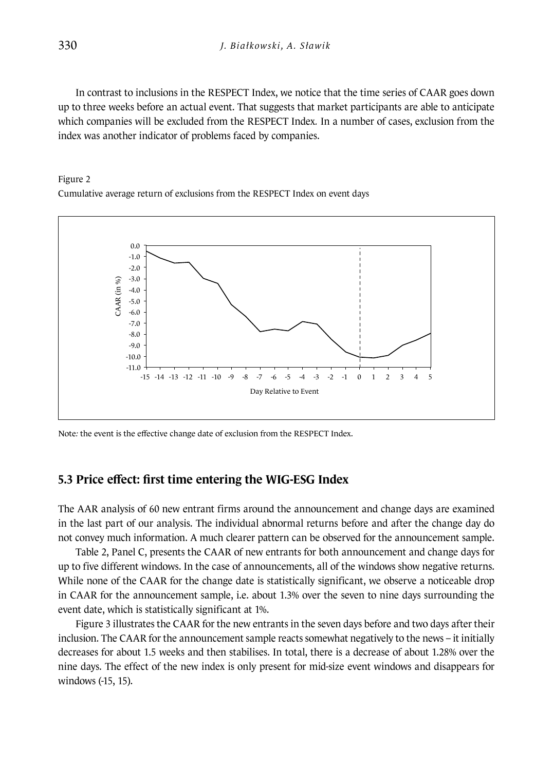In contrast to inclusions in the RESPECT Index, we notice that the time series of CAAR goes down up to three weeks before an actual event. That suggests that market participants are able to anticipate which companies will be excluded from the RESPECT Index*.* In a number of cases, exclusion from the index was another indicator of problems faced by companies.

#### Figure 2 Cumulative average return of exclusions from the RESPECT Index on event days



Note*:* the event is the effective change date of exclusion from the RESPECT Index.

#### **5.3 Price effect: first time entering the WIG-ESG Index**

The AAR analysis of 60 new entrant firms around the announcement and change days are examined in the last part of our analysis. The individual abnormal returns before and after the change day do not convey much information. A much clearer pattern can be observed for the announcement sample.

Table 2, Panel C, presents the CAAR of new entrants for both announcement and change days for up to five different windows. In the case of announcements, all of the windows show negative returns. While none of the CAAR for the change date is statistically significant, we observe a noticeable drop in CAAR for the announcement sample, i.e. about 1.3% over the seven to nine days surrounding the event date, which is statistically significant at 1%.

Figure 3 illustrates the CAAR for the new entrants in the seven days before and two days after their inclusion. The CAAR for the announcement sample reacts somewhat negatively to the news – it initially decreases for about 1.5 weeks and then stabilises. In total, there is a decrease of about 1.28% over the nine days. The effect of the new index is only present for mid-size event windows and disappears for windows (-15, 15).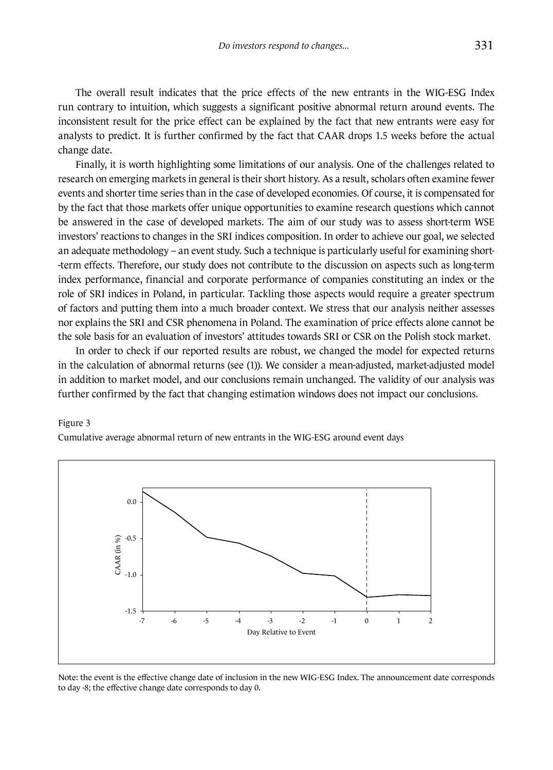The overall result indicates that the price effects of the new entrants in the WIG-ESG Index run contrary to intuition, which suggests a significant positive abnormal return around events. The inconsistent result for the price effect can be explained by the fact that new entrants were easy for analysts to predict. It is further confirmed by the fact that CAAR drops 1.5 weeks before the actual change date.

Finally, it is worth highlighting some limitations of our analysis. One of the challenges related to research on emerging markets in general is their short history. As a result, scholars often examine fewer events and shorter time series than in the case of developed economies. Of course, it is compensated for by the fact that those markets offer unique opportunities to examine research questions which cannot be answered in the case of developed markets. The aim of our study was to assess short-term WSE investors' reactions to changes in the SRI indices composition. In order to achieve our goal, we selected an adequate methodology – an event study. Such a technique is particularly useful for examining short- -term effects. Therefore, our study does not contribute to the discussion on aspects such as long-term index performance, financial and corporate performance of companies constituting an index or the role of SRI indices in Poland, in particular. Tackling those aspects would require a greater spectrum of factors and putting them into a much broader context. We stress that our analysis neither assesses nor explains the SRI and CSR phenomena in Poland. The examination of price effects alone cannot be the sole basis for an evaluation of investors' attitudes towards SRI or CSR on the Polish stock market.

In order to check if our reported results are robust, we changed the model for expected returns in the calculation of abnormal returns (see (1)). We consider a mean-adjusted, market-adjusted model in addition to market model, and our conclusions remain unchanged. The validity of our analysis was further confirmed by the fact that changing estimation windows does not impact our conclusions.

#### Figure 3

Cumulative average abnormal return of new entrants in the WIG-ESG around event days



Note: the event is the effective change date of inclusion in the new WIG-ESG Index. The announcement date corresponds to day -8; the effective change date corresponds to day 0.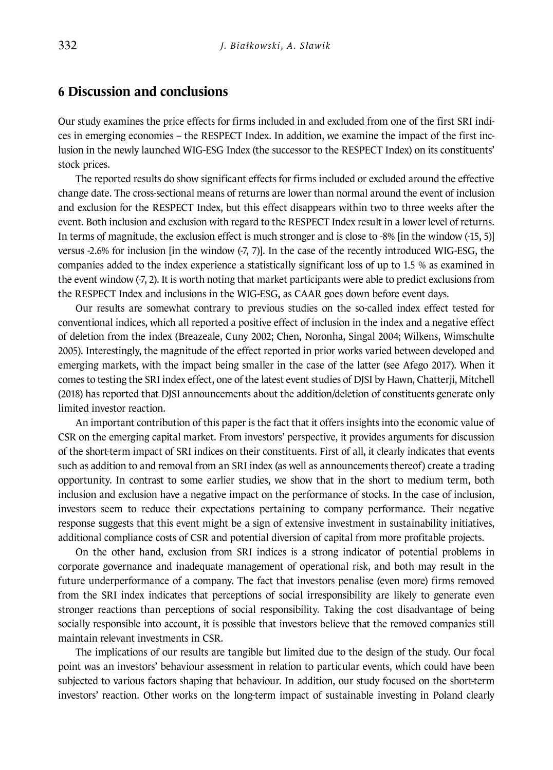#### **6 Discussion and conclusions**

Our study examines the price effects for firms included in and excluded from one of the first SRI indices in emerging economies – the RESPECT Index. In addition, we examine the impact of the first inclusion in the newly launched WIG-ESG Index (the successor to the RESPECT Index) on its constituents' stock prices.

The reported results do show significant effects for firms included or excluded around the effective change date. The cross-sectional means of returns are lower than normal around the event of inclusion and exclusion for the RESPECT Index, but this effect disappears within two to three weeks after the event. Both inclusion and exclusion with regard to the RESPECT Index result in a lower level of returns. In terms of magnitude, the exclusion effect is much stronger and is close to -8% [in the window (-15, 5)] versus -2.6% for inclusion [in the window (-7, 7)]. In the case of the recently introduced WIG-ESG, the companies added to the index experience a statistically significant loss of up to 1.5 % as examined in the event window (-7, 2). It is worth noting that market participants were able to predict exclusions from the RESPECT Index and inclusions in the WIG-ESG, as CAAR goes down before event days.

Our results are somewhat contrary to previous studies on the so-called index effect tested for conventional indices, which all reported a positive effect of inclusion in the index and a negative effect of deletion from the index (Breazeale, Cuny 2002; Chen, Noronha, Singal 2004; Wilkens, Wimschulte 2005). Interestingly, the magnitude of the effect reported in prior works varied between developed and emerging markets, with the impact being smaller in the case of the latter (see Afego 2017). When it comes to testing the SRI index effect, one of the latest event studies of DJSI by Hawn, Chatterji, Mitchell (2018) has reported that DJSI announcements about the addition/deletion of constituents generate only limited investor reaction.

An important contribution of this paper is the fact that it offers insights into the economic value of CSR on the emerging capital market. From investors' perspective, it provides arguments for discussion of the short-term impact of SRI indices on their constituents. First of all, it clearly indicates that events such as addition to and removal from an SRI index (as well as announcements thereof) create a trading opportunity. In contrast to some earlier studies, we show that in the short to medium term, both inclusion and exclusion have a negative impact on the performance of stocks. In the case of inclusion, investors seem to reduce their expectations pertaining to company performance. Their negative response suggests that this event might be a sign of extensive investment in sustainability initiatives, additional compliance costs of CSR and potential diversion of capital from more profitable projects.

On the other hand, exclusion from SRI indices is a strong indicator of potential problems in corporate governance and inadequate management of operational risk, and both may result in the future underperformance of a company. The fact that investors penalise (even more) firms removed from the SRI index indicates that perceptions of social irresponsibility are likely to generate even stronger reactions than perceptions of social responsibility. Taking the cost disadvantage of being socially responsible into account, it is possible that investors believe that the removed companies still maintain relevant investments in CSR.

The implications of our results are tangible but limited due to the design of the study. Our focal point was an investors' behaviour assessment in relation to particular events, which could have been subjected to various factors shaping that behaviour. In addition, our study focused on the short-term investors' reaction. Other works on the long-term impact of sustainable investing in Poland clearly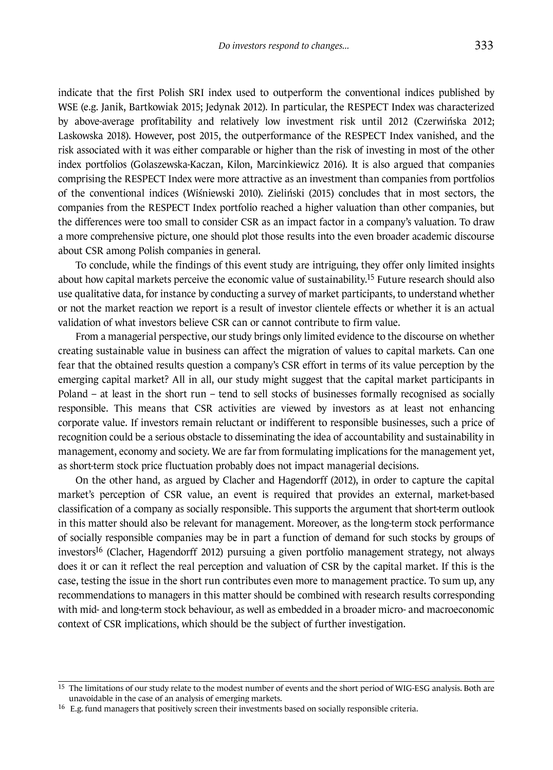indicate that the first Polish SRI index used to outperform the conventional indices published by WSE (e.g. Janik, Bartkowiak 2015; Jedynak 2012). In particular, the RESPECT Index was characterized by above-average profitability and relatively low investment risk until 2012 (Czerwińska 2012; Laskowska 2018). However, post 2015, the outperformance of the RESPECT Index vanished, and the risk associated with it was either comparable or higher than the risk of investing in most of the other index portfolios (Golaszewska-Kaczan, Kilon, Marcinkiewicz 2016). It is also argued that companies comprising the RESPECT Index were more attractive as an investment than companies from portfolios of the conventional indices (Wiśniewski 2010). Zieliński (2015) concludes that in most sectors, the companies from the RESPECT Index portfolio reached a higher valuation than other companies, but the differences were too small to consider CSR as an impact factor in a company's valuation. To draw a more comprehensive picture, one should plot those results into the even broader academic discourse about CSR among Polish companies in general.

To conclude, while the findings of this event study are intriguing, they offer only limited insights about how capital markets perceive the economic value of sustainability.15 Future research should also use qualitative data, for instance by conducting a survey of market participants, to understand whether or not the market reaction we report is a result of investor clientele effects or whether it is an actual validation of what investors believe CSR can or cannot contribute to firm value.

From a managerial perspective, our study brings only limited evidence to the discourse on whether creating sustainable value in business can affect the migration of values to capital markets. Can one fear that the obtained results question a company's CSR effort in terms of its value perception by the emerging capital market? All in all, our study might suggest that the capital market participants in Poland – at least in the short run – tend to sell stocks of businesses formally recognised as socially responsible. This means that CSR activities are viewed by investors as at least not enhancing corporate value. If investors remain reluctant or indifferent to responsible businesses, such a price of recognition could be a serious obstacle to disseminating the idea of accountability and sustainability in management, economy and society. We are far from formulating implications for the management yet, as short-term stock price fluctuation probably does not impact managerial decisions.

On the other hand, as argued by Clacher and Hagendorff (2012), in order to capture the capital market's perception of CSR value, an event is required that provides an external, market-based classification of a company as socially responsible. This supports the argument that short-term outlook in this matter should also be relevant for management. Moreover, as the long-term stock performance of socially responsible companies may be in part a function of demand for such stocks by groups of investors16 (Clacher, Hagendorff 2012) pursuing a given portfolio management strategy, not always does it or can it reflect the real perception and valuation of CSR by the capital market. If this is the case, testing the issue in the short run contributes even more to management practice. To sum up, any recommendations to managers in this matter should be combined with research results corresponding with mid- and long-term stock behaviour, as well as embedded in a broader micro- and macroeconomic context of CSR implications, which should be the subject of further investigation.

<sup>&</sup>lt;sup>15</sup> The limitations of our study relate to the modest number of events and the short period of WIG-ESG analysis. Both are unavoidable in the case of an analysis of emerging markets.

<sup>16</sup> E.g. fund managers that positively screen their investments based on socially responsible criteria.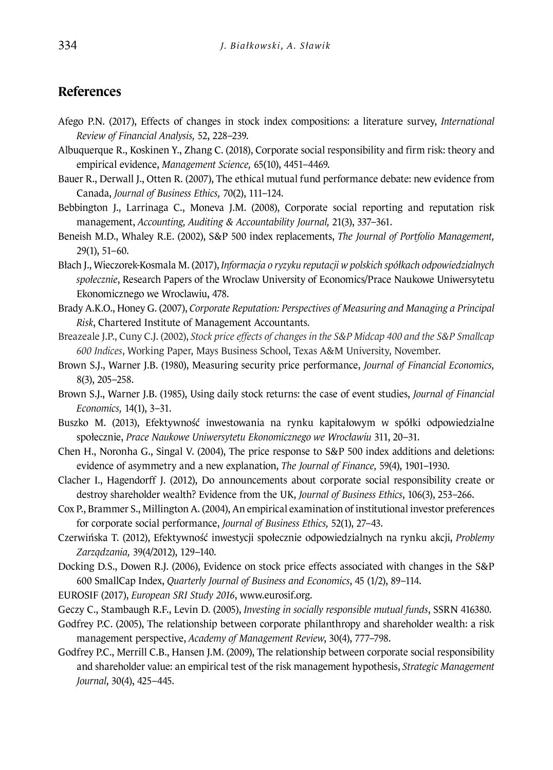### **References**

- Afego P.N. (2017), Effects of changes in stock index compositions: a literature survey, *International Review of Financial Analysis,* 52, 228–239.
- Albuquerque R., Koskinen Y., Zhang C. (2018), Corporate social responsibility and firm risk: theory and empirical evidence, *Management Science,* 65(10), 4451–4469.
- Bauer R., Derwall J., Otten R. (2007), The ethical mutual fund performance debate: new evidence from Canada, *Journal of Business Ethics,* 70(2), 111–124.
- Bebbington J., Larrinaga C., Moneva J.M. (2008), Corporate social reporting and reputation risk management, *Accounting, Auditing & Accountability Journal,* 21(3), 337–361.
- Beneish M.D., Whaley R.E. (2002), S&P 500 index replacements, *The Journal of Portfolio Management,*  29(1), 51–60.
- Błach J., Wieczorek-Kosmala M. (2017), *Informacja o ryzyku reputacji w polskich spółkach odpowiedzialnych społecznie*, Research Papers of the Wroclaw University of Economics/Prace Naukowe Uniwersytetu Ekonomicznego we Wroclawiu, 478.
- Brady A.K.O., Honey G. (2007), *Corporate Reputation: Perspectives of Measuring and Managing a Principal Risk*, Chartered Institute of Management Accountants.
- Breazeale J.P., Cuny C.J. (2002), *Stock price effects of changes in the S&P Midcap 400 and the S&P Smallcap 600 Indices*, Working Paper, Mays Business School, Texas A&M University, November.
- Brown S.J., Warner J.B. (1980), Measuring security price performance, *Journal of Financial Economics,*  8(3), 205–258.
- Brown S.J., Warner J.B. (1985), Using daily stock returns: the case of event studies, *Journal of Financial Economics,* 14(1), 3–31.
- Buszko M. (2013), Efektywność inwestowania na rynku kapitałowym w spółki odpowiedzialne społecznie, *Prace Naukowe Uniwersytetu Ekonomicznego we Wrocławiu* 311, 20–31.
- Chen H., Noronha G., Singal V. (2004), The price response to S&P 500 index additions and deletions: evidence of asymmetry and a new explanation, *The Journal of Finance,* 59(4), 1901–1930.
- Clacher I., Hagendorff J. (2012), Do announcements about corporate social responsibility create or destroy shareholder wealth? Evidence from the UK, *Journal of Business Ethics*, 106(3), 253–266.
- Cox P., Brammer S., Millington A. (2004), An empirical examination of institutional investor preferences for corporate social performance, *Journal of Business Ethics,* 52(1), 27–43.
- Czerwińska T. (2012), Efektywność inwestycji społecznie odpowiedzialnych na rynku akcji, *Problemy Zarządzania,* 39(4/2012), 129–140.
- Docking D.S., Dowen R.J. (2006), Evidence on stock price effects associated with changes in the S&P 600 SmallCap Index, *Quarterly Journal of Business and Economics*, 45 (1/2), 89–114.
- EUROSIF (2017), *European SRI Study 2016*, www.eurosif.org.
- Geczy C., Stambaugh R.F., Levin D. (2005), *Investing in socially responsible mutual funds*, SSRN 416380.

Godfrey P.C. (2005), The relationship between corporate philanthropy and shareholder wealth: a risk management perspective, *Academy of Management Review*, 30(4), 777–798.

Godfrey P.C., Merrill C.B., Hansen J.M. (2009), The relationship between corporate social responsibility and shareholder value: an empirical test of the risk management hypothesis, *Strategic Management Journal*, 30(4), 425–445.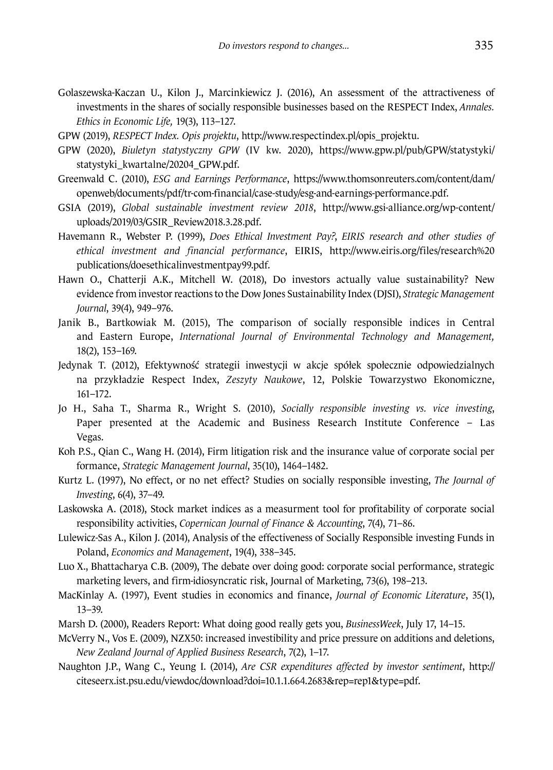Golaszewska-Kaczan U., Kilon J., Marcinkiewicz J. (2016), An assessment of the attractiveness of investments in the shares of socially responsible businesses based on the RESPECT Index, *Annales. Ethics in Economic Life,* 19(3), 113–127.

GPW (2019), *RESPECT Index. Opis projektu*, http://www.respectindex.pl/opis\_projektu.

- GPW (2020), *Biuletyn statystyczny GPW* (IV kw. 2020), https://www.gpw.pl/pub/GPW/statystyki/ statystyki\_kwartalne/20204\_GPW.pdf.
- Greenwald C. (2010), *ESG and Earnings Performance*, https://www.thomsonreuters.com/content/dam/ openweb/documents/pdf/tr-com-financial/case-study/esg-and-earnings-performance.pdf.
- GSIA (2019), *Global sustainable investment review 2018*, http://www.gsi-alliance.org/wp-content/ uploads/2019/03/GSIR\_Review2018.3.28.pdf.
- Havemann R., Webster P. (1999), *Does Ethical Investment Pay?*, *EIRIS research and other studies of ethical investment and financial performance*, EIRIS, http://www.eiris.org/files/research%20 publications/doesethicalinvestmentpay99.pdf.
- Hawn O., Chatterji A.K., Mitchell W. (2018), Do investors actually value sustainability? New evidence from investor reactions to the Dow Jones Sustainability Index (DJSI), *Strategic Management Journal*, 39(4), 949–976.
- Janik B., Bartkowiak M. (2015), The comparison of socially responsible indices in Central and Eastern Europe, *International Journal of Environmental Technology and Management,*  18(2), 153–169.
- Jedynak T. (2012), Efektywność strategii inwestycji w akcje spółek społecznie odpowiedzialnych na przykładzie Respect Index, *Zeszyty Naukowe*, 12, Polskie Towarzystwo Ekonomiczne, 161–172.
- Jo H., Saha T., Sharma R., Wright S. (2010), *Socially responsible investing vs. vice investing*, Paper presented at the Academic and Business Research Institute Conference – Las Vegas.
- Koh P.S., Qian C., Wang H. (2014), Firm litigation risk and the insurance value of corporate social per formance, *Strategic Management Journal*, 35(10), 1464–1482.
- Kurtz L. (1997), No effect, or no net effect? Studies on socially responsible investing, *The Journal of Investing*, 6(4), 37–49.
- Laskowska A. (2018), Stock market indices as a measurment tool for profitability of corporate social responsibility activities, *Copernican Journal of Finance & Accounting*, 7(4), 71–86.
- Lulewicz-Sas A., Kilon J. (2014), Analysis of the effectiveness of Socially Responsible investing Funds in Poland, *Economics and Management*, 19(4), 338–345.
- Luo X., Bhattacharya C.B. (2009), The debate over doing good: corporate social performance, strategic marketing levers, and firm-idiosyncratic risk, Journal of Marketing, 73(6), 198–213.
- MacKinlay A. (1997), Event studies in economics and finance, *Journal of Economic Literature*, 35(1), 13–39.
- Marsh D. (2000), Readers Report: What doing good really gets you, *BusinessWeek*, July 17, 14–15.
- McVerry N., Vos E. (2009), NZX50: increased investibility and price pressure on additions and deletions, *New Zealand Journal of Applied Business Research*, 7(2), 1–17.
- Naughton J.P., Wang C., Yeung I. (2014), *Are CSR expenditures affected by investor sentiment*, http:// citeseerx.ist.psu.edu/viewdoc/download?doi=10.1.1.664.2683&rep=rep1&type=pdf.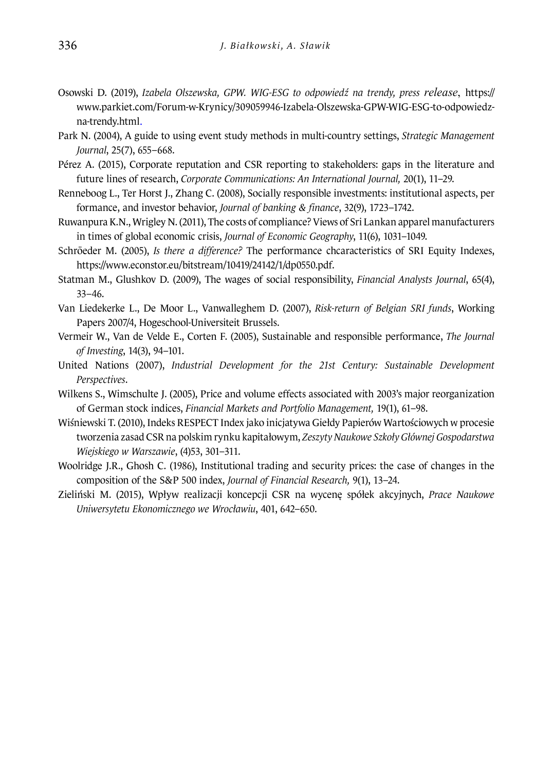- Osowski D. (2019), *Izabela Olszewska, GPW. WIG-ESG to odpowiedź na trendy, press release*, https:// www.parkiet.com/Forum-w-Krynicy/309059946-Izabela-Olszewska-GPW-WIG-ESG-to-odpowiedzna-trendy.html.
- Park N. (2004), A guide to using event study methods in multi-country settings, *Strategic Management Journal*, 25(7), 655–668.
- Pérez A. (2015), Corporate reputation and CSR reporting to stakeholders: gaps in the literature and future lines of research, *Corporate Communications: An International Journal,* 20(1), 11–29.
- Renneboog L., Ter Horst J., Zhang C. (2008), Socially responsible investments: institutional aspects, per formance, and investor behavior, *Journal of banking & finance*, 32(9), 1723–1742.
- Ruwanpura K.N., Wrigley N. (2011), The costs of compliance? Views of Sri Lankan apparel manufacturers in times of global economic crisis, *Journal of Economic Geography*, 11(6), 1031–1049.
- Schröeder M. (2005), *Is there a difference?* The performance chcaracteristics of SRI Equity Indexes, https://www.econstor.eu/bitstream/10419/24142/1/dp0550.pdf.
- Statman M., Glushkov D. (2009), The wages of social responsibility, *Financial Analysts Journal*, 65(4), 33–46.
- Van Liedekerke L., De Moor L., Vanwalleghem D. (2007), *Risk-return of Belgian SRI funds*, Working Papers 2007/4, Hogeschool-Universiteit Brussels.
- Vermeir W., Van de Velde E., Corten F. (2005), Sustainable and responsible performance, *The Journal of Investing*, 14(3), 94–101.
- United Nations (2007), *Industrial Development for the 21st Century: Sustainable Development Perspectives*.
- Wilkens S., Wimschulte J. (2005), Price and volume effects associated with 2003's major reorganization of German stock indices, *Financial Markets and Portfolio Management,* 19(1), 61–98.
- Wiśniewski T. (2010), Indeks RESPECT Index jako inicjatywa Giełdy Papierów Wartościowych w procesie tworzenia zasad CSR na polskim rynku kapitałowym, *Zeszyty Naukowe Szkoły Głównej Gospodarstwa Wiejskiego w Warszawie*, (4)53, 301–311.
- Woolridge J.R., Ghosh C. (1986), Institutional trading and security prices: the case of changes in the composition of the S&P 500 index, *Journal of Financial Research,* 9(1), 13–24.
- Zieliński M. (2015), Wpływ realizacji koncepcji CSR na wycenę spółek akcyjnych, *Prace Naukowe Uniwersytetu Ekonomicznego we Wrocławiu*, 401, 642–650.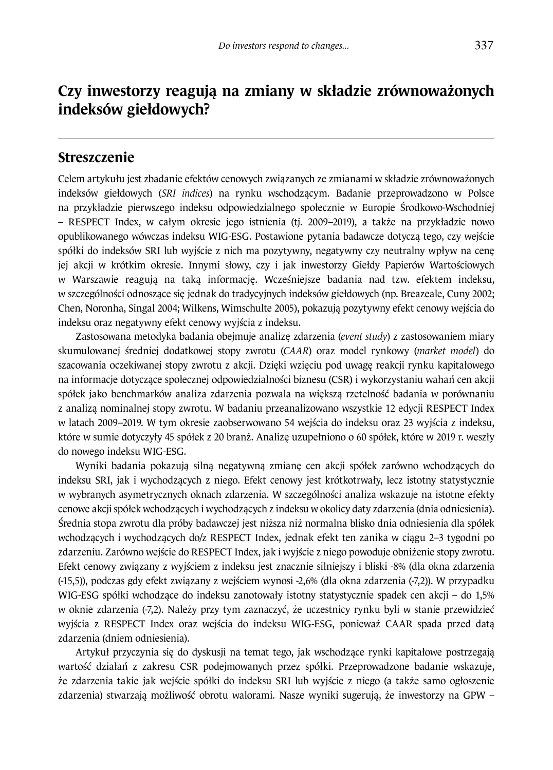# **Czy inwestorzy reagują na zmiany w składzie zrównoważonych indeksów giełdowych?**

#### **Streszczenie**

Celem artykułu jest zbadanie efektów cenowych związanych ze zmianami w składzie zrównoważonych indeksów giełdowych (*SRI indices*) na rynku wschodzącym. Badanie przeprowadzono w Polsce na przykładzie pierwszego indeksu odpowiedzialnego społecznie w Europie Środkowo-Wschodniej – RESPECT Index, w całym okresie jego istnienia (tj. 2009–2019), a także na przykładzie nowo opublikowanego wówczas indeksu WIG-ESG. Postawione pytania badawcze dotyczą tego, czy wejście spółki do indeksów SRI lub wyjście z nich ma pozytywny, negatywny czy neutralny wpływ na cenę jej akcji w krótkim okresie. Innymi słowy, czy i jak inwestorzy Giełdy Papierów Wartościowych w Warszawie reagują na taką informację. Wcześniejsze badania nad tzw. efektem indeksu, w szczególności odnoszące się jednak do tradycyjnych indeksów giełdowych (np. Breazeale, Cuny 2002; Chen, Noronha, Singal 2004; Wilkens, Wimschulte 2005), pokazują pozytywny efekt cenowy wejścia do indeksu oraz negatywny efekt cenowy wyjścia z indeksu.

Zastosowana metodyka badania obejmuje analizę zdarzenia (*event study*) z zastosowaniem miary skumulowanej średniej dodatkowej stopy zwrotu (*CAAR*) oraz model rynkowy (*market model*) do szacowania oczekiwanej stopy zwrotu z akcji. Dzięki wzięciu pod uwagę reakcji rynku kapitałowego na informacje dotyczące społecznej odpowiedzialności biznesu (CSR) i wykorzystaniu wahań cen akcji spółek jako benchmarków analiza zdarzenia pozwala na większą rzetelność badania w porównaniu z analizą nominalnej stopy zwrotu. W badaniu przeanalizowano wszystkie 12 edycji RESPECT Index w latach 2009–2019. W tym okresie zaobserwowano 54 wejścia do indeksu oraz 23 wyjścia z indeksu, które w sumie dotyczyły 45 spółek z 20 branż. Analizę uzupełniono o 60 spółek, które w 2019 r. weszły do nowego indeksu WIG-ESG.

Wyniki badania pokazują silną negatywną zmianę cen akcji spółek zarówno wchodzących do indeksu SRI, jak i wychodzących z niego. Efekt cenowy jest krótkotrwały, lecz istotny statystycznie w wybranych asymetrycznych oknach zdarzenia. W szczególności analiza wskazuje na istotne efekty cenowe akcji spółek wchodzących i wychodzących z indeksu w okolicy daty zdarzenia (dnia odniesienia). Średnia stopa zwrotu dla próby badawczej jest niższa niż normalna blisko dnia odniesienia dla spółek wchodzących i wychodzących do/z RESPECT Index, jednak efekt ten zanika w ciągu 2–3 tygodni po zdarzeniu. Zarówno wejście do RESPECT Index, jak i wyjście z niego powoduje obniżenie stopy zwrotu. Efekt cenowy związany z wyjściem z indeksu jest znacznie silniejszy i bliski -8% (dla okna zdarzenia (-15,5)), podczas gdy efekt związany z wejściem wynosi -2,6% (dla okna zdarzenia (-7,2)). W przypadku WIG-ESG spółki wchodzące do indeksu zanotowały istotny statystycznie spadek cen akcji – do 1,5% w oknie zdarzenia (-7,2). Należy przy tym zaznaczyć, że uczestnicy rynku byli w stanie przewidzieć wyjścia z RESPECT Index oraz wejścia do indeksu WIG-ESG, ponieważ CAAR spada przed datą zdarzenia (dniem odniesienia).

Artykuł przyczynia się do dyskusji na temat tego, jak wschodzące rynki kapitałowe postrzegają wartość działań z zakresu CSR podejmowanych przez spółki. Przeprowadzone badanie wskazuje, że zdarzenia takie jak wejście spółki do indeksu SRI lub wyjście z niego (a także samo ogłoszenie zdarzenia) stwarzają możliwość obrotu walorami. Nasze wyniki sugerują, że inwestorzy na GPW –